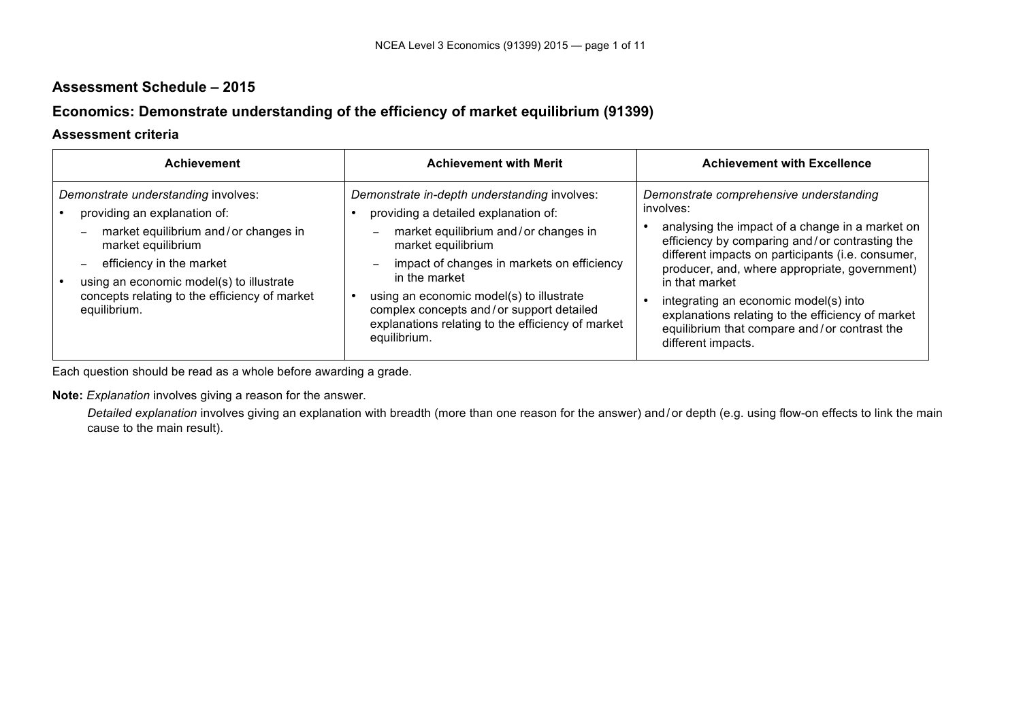# **Assessment Schedule – 2015**

# **Economics: Demonstrate understanding of the efficiency of market equilibrium (91399)**

#### **Assessment criteria**

| <b>Achievement</b>                                                                                                                                                                                                                                                         | <b>Achievement with Merit</b>                                                                                                                                                                                                                                                                                                                                                                              | <b>Achievement with Excellence</b>                                                                                                                                                                                                                                                                                                                                                                                                                    |
|----------------------------------------------------------------------------------------------------------------------------------------------------------------------------------------------------------------------------------------------------------------------------|------------------------------------------------------------------------------------------------------------------------------------------------------------------------------------------------------------------------------------------------------------------------------------------------------------------------------------------------------------------------------------------------------------|-------------------------------------------------------------------------------------------------------------------------------------------------------------------------------------------------------------------------------------------------------------------------------------------------------------------------------------------------------------------------------------------------------------------------------------------------------|
| Demonstrate understanding involves:<br>providing an explanation of:<br>market equilibrium and/or changes in<br>market equilibrium<br>efficiency in the market<br>using an economic model(s) to illustrate<br>concepts relating to the efficiency of market<br>equilibrium. | Demonstrate in-depth understanding involves:<br>providing a detailed explanation of:<br>market equilibrium and/or changes in<br>$\overline{\phantom{m}}$<br>market equilibrium<br>impact of changes in markets on efficiency<br>in the market<br>using an economic model(s) to illustrate<br>complex concepts and/or support detailed<br>explanations relating to the efficiency of market<br>equilibrium. | Demonstrate comprehensive understanding<br>involves:<br>analysing the impact of a change in a market on<br>efficiency by comparing and/or contrasting the<br>different impacts on participants (i.e. consumer,<br>producer, and, where appropriate, government)<br>in that market<br>integrating an economic model(s) into<br>explanations relating to the efficiency of market<br>equilibrium that compare and/or contrast the<br>different impacts. |

Each question should be read as a whole before awarding a grade.

**Note:** *Explanation* involves giving a reason for the answer.

*Detailed explanation* involves giving an explanation with breadth (more than one reason for the answer) and / or depth (e.g. using flow-on effects to link the main cause to the main result).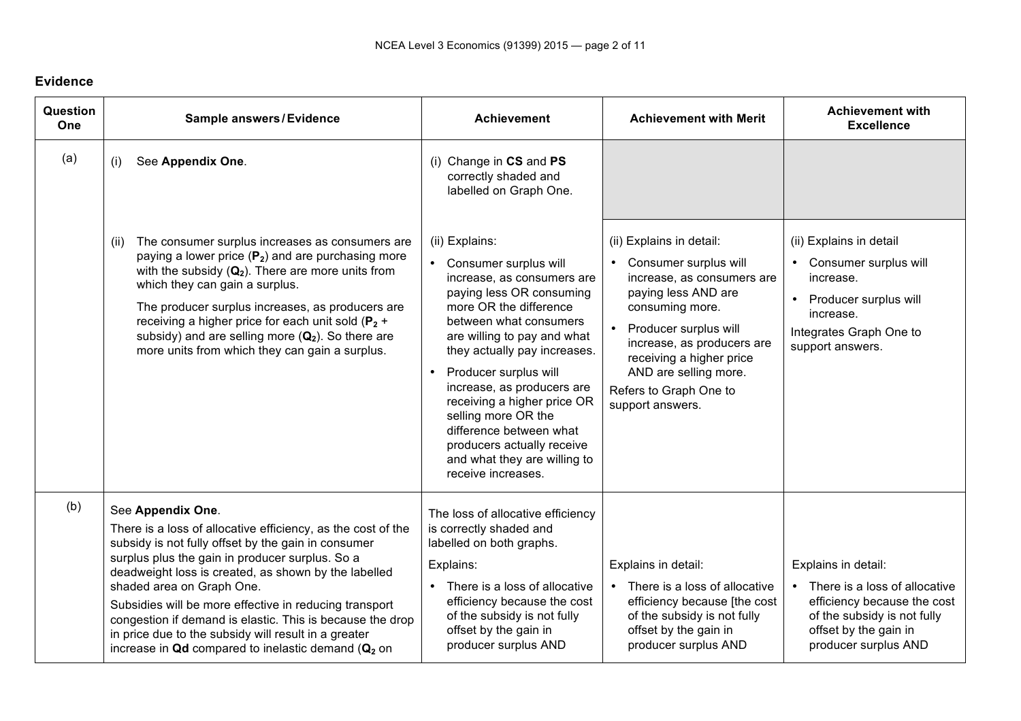### **Evidence**

| Question<br>One | <b>Sample answers/Evidence</b>                                                                                                                                                                                                                                                                                                                                                                                                                                                                                                               | <b>Achievement</b>                                                                                                                                                                                                                                                                                                                                                                                                                                              |                                                                                                                                                                                                                                                                                                    | <b>Achievement with</b><br><b>Excellence</b>                                                                                                                          |
|-----------------|----------------------------------------------------------------------------------------------------------------------------------------------------------------------------------------------------------------------------------------------------------------------------------------------------------------------------------------------------------------------------------------------------------------------------------------------------------------------------------------------------------------------------------------------|-----------------------------------------------------------------------------------------------------------------------------------------------------------------------------------------------------------------------------------------------------------------------------------------------------------------------------------------------------------------------------------------------------------------------------------------------------------------|----------------------------------------------------------------------------------------------------------------------------------------------------------------------------------------------------------------------------------------------------------------------------------------------------|-----------------------------------------------------------------------------------------------------------------------------------------------------------------------|
| (a)             | See Appendix One.<br>(i)                                                                                                                                                                                                                                                                                                                                                                                                                                                                                                                     | (i) Change in CS and PS<br>correctly shaded and<br>labelled on Graph One.                                                                                                                                                                                                                                                                                                                                                                                       |                                                                                                                                                                                                                                                                                                    |                                                                                                                                                                       |
|                 | The consumer surplus increases as consumers are<br>(ii)<br>paying a lower price $(P_2)$ and are purchasing more<br>with the subsidy $(Q_2)$ . There are more units from<br>which they can gain a surplus.<br>The producer surplus increases, as producers are<br>receiving a higher price for each unit sold ( $P_2$ +<br>subsidy) and are selling more $(Q_2)$ . So there are<br>more units from which they can gain a surplus.                                                                                                             | (ii) Explains:<br>• Consumer surplus will<br>increase, as consumers are<br>paying less OR consuming<br>more OR the difference<br>between what consumers<br>are willing to pay and what<br>they actually pay increases.<br>Producer surplus will<br>$\bullet$<br>increase, as producers are<br>receiving a higher price OR<br>selling more OR the<br>difference between what<br>producers actually receive<br>and what they are willing to<br>receive increases. | (ii) Explains in detail:<br>• Consumer surplus will<br>increase, as consumers are<br>paying less AND are<br>consuming more.<br>Producer surplus will<br>$\bullet$<br>increase, as producers are<br>receiving a higher price<br>AND are selling more.<br>Refers to Graph One to<br>support answers. | (ii) Explains in detail<br>• Consumer surplus will<br>increase.<br>Producer surplus will<br>increase.<br>Integrates Graph One to<br>support answers.                  |
| (b)             | See Appendix One.<br>There is a loss of allocative efficiency, as the cost of the<br>subsidy is not fully offset by the gain in consumer<br>surplus plus the gain in producer surplus. So a<br>deadweight loss is created, as shown by the labelled<br>shaded area on Graph One.<br>Subsidies will be more effective in reducing transport<br>congestion if demand is elastic. This is because the drop<br>in price due to the subsidy will result in a greater<br>increase in $\mathbf Q$ d compared to inelastic demand ( $\mathbf Q_2$ on | The loss of allocative efficiency<br>is correctly shaded and<br>labelled on both graphs.<br>Explains:<br>There is a loss of allocative<br>efficiency because the cost<br>of the subsidy is not fully<br>offset by the gain in<br>producer surplus AND                                                                                                                                                                                                           | Explains in detail:<br>• There is a loss of allocative<br>efficiency because [the cost<br>of the subsidy is not fully<br>offset by the gain in<br>producer surplus AND                                                                                                                             | Explains in detail:<br>• There is a loss of allocative<br>efficiency because the cost<br>of the subsidy is not fully<br>offset by the gain in<br>producer surplus AND |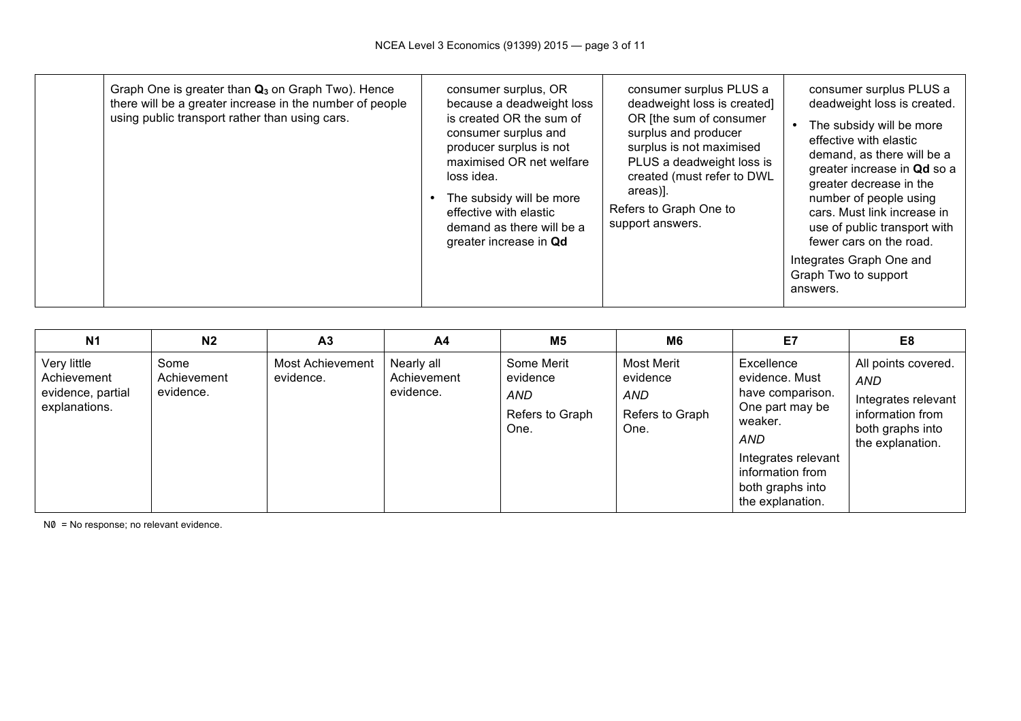| Graph One is greater than $Q_3$ on Graph Two). Hence<br>there will be a greater increase in the number of people<br>using public transport rather than using cars. | consumer surplus, OR<br>because a deadweight loss<br>is created OR the sum of<br>consumer surplus and<br>producer surplus is not<br>maximised OR net welfare<br>loss idea.<br>The subsidy will be more<br>effective with elastic<br>demand as there will be a<br>greater increase in Qd | consumer surplus PLUS a<br>deadweight loss is created]<br>OR [the sum of consumer<br>surplus and producer<br>surplus is not maximised<br>PLUS a deadweight loss is<br>created (must refer to DWL<br>areas).<br>Refers to Graph One to<br>support answers. | consumer surplus PLUS a<br>deadweight loss is created.<br>The subsidy will be more<br>effective with elastic<br>demand, as there will be a<br>greater increase in Qd so a<br>greater decrease in the<br>number of people using<br>cars. Must link increase in<br>use of public transport with<br>fewer cars on the road.<br>Integrates Graph One and<br>Graph Two to support<br>answers. |
|--------------------------------------------------------------------------------------------------------------------------------------------------------------------|-----------------------------------------------------------------------------------------------------------------------------------------------------------------------------------------------------------------------------------------------------------------------------------------|-----------------------------------------------------------------------------------------------------------------------------------------------------------------------------------------------------------------------------------------------------------|------------------------------------------------------------------------------------------------------------------------------------------------------------------------------------------------------------------------------------------------------------------------------------------------------------------------------------------------------------------------------------------|
|--------------------------------------------------------------------------------------------------------------------------------------------------------------------|-----------------------------------------------------------------------------------------------------------------------------------------------------------------------------------------------------------------------------------------------------------------------------------------|-----------------------------------------------------------------------------------------------------------------------------------------------------------------------------------------------------------------------------------------------------------|------------------------------------------------------------------------------------------------------------------------------------------------------------------------------------------------------------------------------------------------------------------------------------------------------------------------------------------------------------------------------------------|

| <b>N1</b>                                                        | N <sub>2</sub>                   | A <sub>3</sub>                       | A4                                     | M <sub>5</sub>                                                  | M <sub>6</sub>                                                  | E7                                                                                                                                                                       | E8                                                                                                                   |
|------------------------------------------------------------------|----------------------------------|--------------------------------------|----------------------------------------|-----------------------------------------------------------------|-----------------------------------------------------------------|--------------------------------------------------------------------------------------------------------------------------------------------------------------------------|----------------------------------------------------------------------------------------------------------------------|
| Very little<br>Achievement<br>evidence, partial<br>explanations. | Some<br>Achievement<br>evidence. | <b>Most Achievement</b><br>evidence. | Nearly all<br>Achievement<br>evidence. | Some Merit<br>evidence<br><b>AND</b><br>Refers to Graph<br>One. | Most Merit<br>evidence<br><b>AND</b><br>Refers to Graph<br>One. | Excellence<br>evidence. Must<br>have comparison.<br>One part may be<br>weaker.<br>AND<br>Integrates relevant<br>information from<br>both graphs into<br>the explanation. | All points covered.<br><b>AND</b><br>Integrates relevant<br>information from<br>both graphs into<br>the explanation. |

 $N0 = No$  response; no relevant evidence.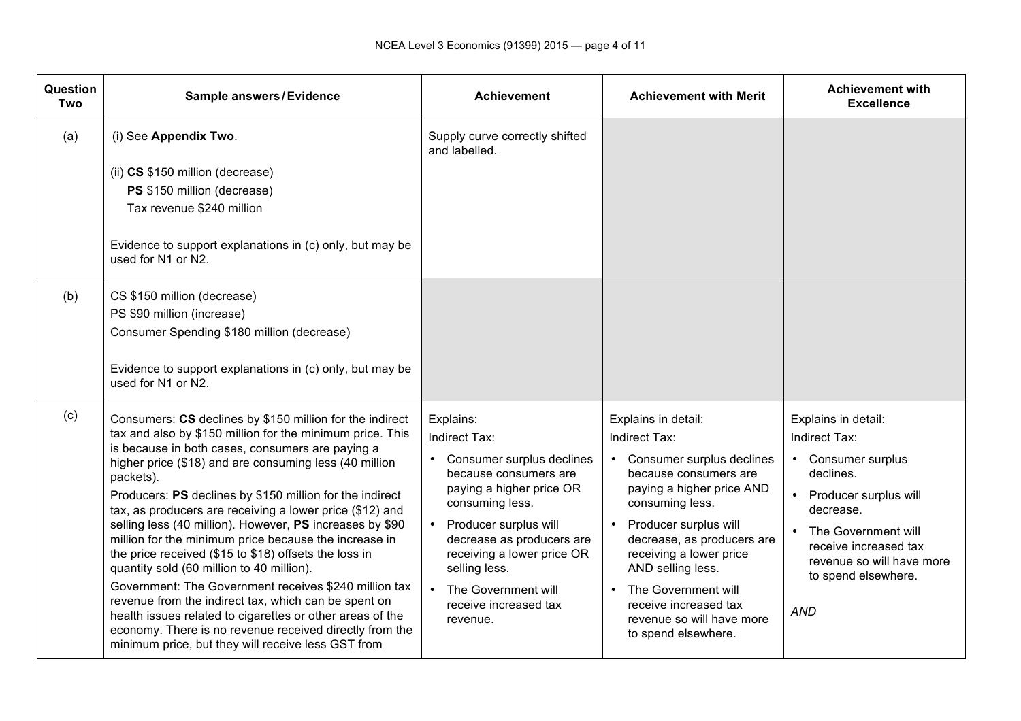| Question<br>Two | Sample answers/Evidence                                                                                                                                                                                                                                                                                                                                                                                                                                                                                                                                                                                                                                                                                                                                                                                                                                                                            | <b>Achievement</b>                                                                                                                                                                                                                                                                                   | <b>Achievement with Merit</b>                                                                                                                                                                                                                                                                                                                                        | <b>Achievement with</b><br><b>Excellence</b>                                                                                                                                                                                      |
|-----------------|----------------------------------------------------------------------------------------------------------------------------------------------------------------------------------------------------------------------------------------------------------------------------------------------------------------------------------------------------------------------------------------------------------------------------------------------------------------------------------------------------------------------------------------------------------------------------------------------------------------------------------------------------------------------------------------------------------------------------------------------------------------------------------------------------------------------------------------------------------------------------------------------------|------------------------------------------------------------------------------------------------------------------------------------------------------------------------------------------------------------------------------------------------------------------------------------------------------|----------------------------------------------------------------------------------------------------------------------------------------------------------------------------------------------------------------------------------------------------------------------------------------------------------------------------------------------------------------------|-----------------------------------------------------------------------------------------------------------------------------------------------------------------------------------------------------------------------------------|
| (a)             | (i) See Appendix Two.                                                                                                                                                                                                                                                                                                                                                                                                                                                                                                                                                                                                                                                                                                                                                                                                                                                                              | Supply curve correctly shifted<br>and labelled.                                                                                                                                                                                                                                                      |                                                                                                                                                                                                                                                                                                                                                                      |                                                                                                                                                                                                                                   |
|                 | (ii) CS \$150 million (decrease)<br>PS \$150 million (decrease)<br>Tax revenue \$240 million<br>Evidence to support explanations in (c) only, but may be<br>used for N1 or N2.                                                                                                                                                                                                                                                                                                                                                                                                                                                                                                                                                                                                                                                                                                                     |                                                                                                                                                                                                                                                                                                      |                                                                                                                                                                                                                                                                                                                                                                      |                                                                                                                                                                                                                                   |
| (b)             | CS \$150 million (decrease)<br>PS \$90 million (increase)<br>Consumer Spending \$180 million (decrease)<br>Evidence to support explanations in (c) only, but may be<br>used for N1 or N2.                                                                                                                                                                                                                                                                                                                                                                                                                                                                                                                                                                                                                                                                                                          |                                                                                                                                                                                                                                                                                                      |                                                                                                                                                                                                                                                                                                                                                                      |                                                                                                                                                                                                                                   |
| (c)             | Consumers: CS declines by \$150 million for the indirect<br>tax and also by \$150 million for the minimum price. This<br>is because in both cases, consumers are paying a<br>higher price (\$18) and are consuming less (40 million<br>packets).<br>Producers: PS declines by \$150 million for the indirect<br>tax, as producers are receiving a lower price (\$12) and<br>selling less (40 million). However, PS increases by \$90<br>million for the minimum price because the increase in<br>the price received (\$15 to \$18) offsets the loss in<br>quantity sold (60 million to 40 million).<br>Government: The Government receives \$240 million tax<br>revenue from the indirect tax, which can be spent on<br>health issues related to cigarettes or other areas of the<br>economy. There is no revenue received directly from the<br>minimum price, but they will receive less GST from | Explains:<br>Indirect Tax:<br>• Consumer surplus declines<br>because consumers are<br>paying a higher price OR<br>consuming less.<br>• Producer surplus will<br>decrease as producers are<br>receiving a lower price OR<br>selling less.<br>The Government will<br>receive increased tax<br>revenue. | Explains in detail:<br>Indirect Tax:<br>• Consumer surplus declines<br>because consumers are<br>paying a higher price AND<br>consuming less.<br>Producer surplus will<br>$\bullet$<br>decrease, as producers are<br>receiving a lower price<br>AND selling less.<br>The Government will<br>receive increased tax<br>revenue so will have more<br>to spend elsewhere. | Explains in detail:<br>Indirect Tax:<br>• Consumer surplus<br>declines.<br>Producer surplus will<br>decrease.<br>• The Government will<br>receive increased tax<br>revenue so will have more<br>to spend elsewhere.<br><b>AND</b> |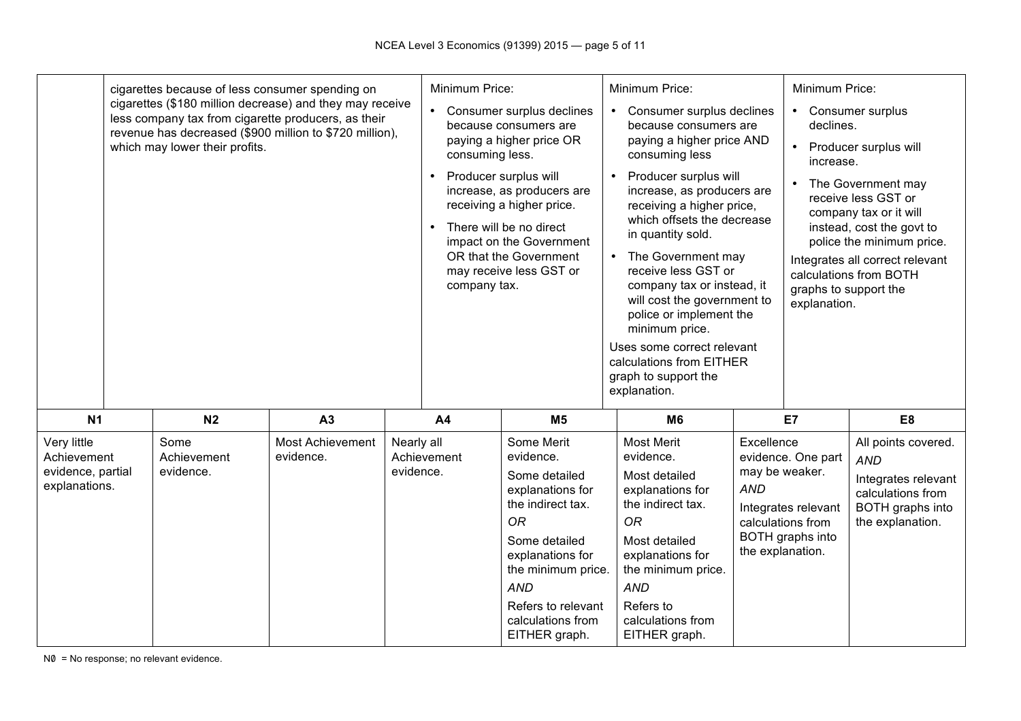|                                                                  | cigarettes because of less consumer spending on<br>which may lower their profits. | cigarettes (\$180 million decrease) and they may receive<br>less company tax from cigarette producers, as their<br>revenue has decreased (\$900 million to \$720 million), |                         | Minimum Price:<br>$\bullet$<br>consuming less.<br>company tax. | Consumer surplus declines<br>because consumers are<br>paying a higher price OR<br>Producer surplus will<br>increase, as producers are<br>receiving a higher price.<br>There will be no direct<br>impact on the Government<br>OR that the Government<br>may receive less GST or | $\bullet$<br>$\bullet$<br>$\bullet$ | Minimum Price:<br>Consumer surplus declines<br>because consumers are<br>paying a higher price AND<br>consuming less<br>Producer surplus will<br>increase, as producers are<br>receiving a higher price,<br>which offsets the decrease<br>in quantity sold.<br>The Government may<br>receive less GST or<br>company tax or instead, it<br>will cost the government to<br>police or implement the<br>minimum price.<br>Uses some correct relevant<br>calculations from EITHER<br>graph to support the<br>explanation. |                                                                | Minimum Price:<br>declines.<br>increase.<br>graphs to support the<br>explanation.  | • Consumer surplus<br>Producer surplus will<br>The Government may<br>receive less GST or<br>company tax or it will<br>instead, cost the govt to<br>police the minimum price.<br>Integrates all correct relevant<br>calculations from BOTH |
|------------------------------------------------------------------|-----------------------------------------------------------------------------------|----------------------------------------------------------------------------------------------------------------------------------------------------------------------------|-------------------------|----------------------------------------------------------------|--------------------------------------------------------------------------------------------------------------------------------------------------------------------------------------------------------------------------------------------------------------------------------|-------------------------------------|---------------------------------------------------------------------------------------------------------------------------------------------------------------------------------------------------------------------------------------------------------------------------------------------------------------------------------------------------------------------------------------------------------------------------------------------------------------------------------------------------------------------|----------------------------------------------------------------|------------------------------------------------------------------------------------|-------------------------------------------------------------------------------------------------------------------------------------------------------------------------------------------------------------------------------------------|
| N <sub>1</sub>                                                   | N <sub>2</sub>                                                                    | A3                                                                                                                                                                         |                         | A <sub>4</sub>                                                 | M <sub>5</sub>                                                                                                                                                                                                                                                                 |                                     | <b>M6</b>                                                                                                                                                                                                                                                                                                                                                                                                                                                                                                           |                                                                | E7                                                                                 | E8                                                                                                                                                                                                                                        |
| Very little<br>Achievement<br>evidence, partial<br>explanations. | Some<br>Achievement<br>evidence.                                                  | <b>Most Achievement</b><br>evidence.                                                                                                                                       | Nearly all<br>evidence. | Achievement                                                    | Some Merit<br>evidence.<br>Some detailed<br>explanations for<br>the indirect tax.<br><b>OR</b><br>Some detailed<br>explanations for<br>the minimum price.<br><b>AND</b><br>Refers to relevant<br>calculations from<br>EITHER graph.                                            |                                     | <b>Most Merit</b><br>evidence.<br>Most detailed<br>explanations for<br>the indirect tax.<br><b>OR</b><br>Most detailed<br>explanations for<br>the minimum price.<br><b>AND</b><br>Refers to<br>calculations from<br>EITHER graph.                                                                                                                                                                                                                                                                                   | Excellence<br>may be weaker.<br><b>AND</b><br>the explanation. | evidence. One part<br>Integrates relevant<br>calculations from<br>BOTH graphs into | All points covered.<br><b>AND</b><br>Integrates relevant<br>calculations from<br>BOTH graphs into<br>the explanation.                                                                                                                     |

N0 = No response; no relevant evidence.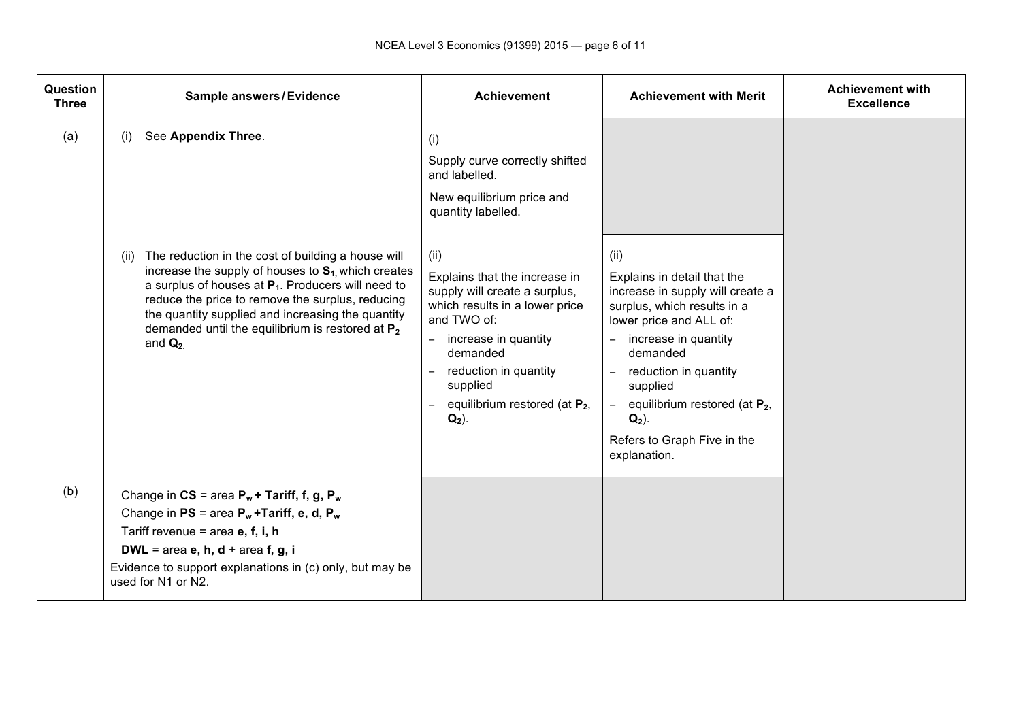| Question<br><b>Three</b> | Sample answers/Evidence                                                                                                                                                                                                                                                                                                                                                                           | <b>Achievement</b>                                                                                                                                                                                                                                                                                                                                                                                 | <b>Achievement with Merit</b>                                                                                                                                                                                                                                                                                                                     | <b>Achievement with</b><br><b>Excellence</b> |
|--------------------------|---------------------------------------------------------------------------------------------------------------------------------------------------------------------------------------------------------------------------------------------------------------------------------------------------------------------------------------------------------------------------------------------------|----------------------------------------------------------------------------------------------------------------------------------------------------------------------------------------------------------------------------------------------------------------------------------------------------------------------------------------------------------------------------------------------------|---------------------------------------------------------------------------------------------------------------------------------------------------------------------------------------------------------------------------------------------------------------------------------------------------------------------------------------------------|----------------------------------------------|
| (a)                      | See Appendix Three.<br>(i)<br>The reduction in the cost of building a house will<br>(ii)<br>increase the supply of houses to $S_1$ , which creates<br>a surplus of houses at $P_1$ . Producers will need to<br>reduce the price to remove the surplus, reducing<br>the quantity supplied and increasing the quantity<br>demanded until the equilibrium is restored at $P_2$<br>and $\mathbf{Q}_2$ | (i)<br>Supply curve correctly shifted<br>and labelled.<br>New equilibrium price and<br>quantity labelled.<br>(ii)<br>Explains that the increase in<br>supply will create a surplus,<br>which results in a lower price<br>and TWO of:<br>increase in quantity<br>$ \,$<br>demanded<br>reduction in quantity<br>$\overline{\phantom{a}}$<br>supplied<br>equilibrium restored (at $P_2$ ,<br>$Q_2$ ). | (ii)<br>Explains in detail that the<br>increase in supply will create a<br>surplus, which results in a<br>lower price and ALL of:<br>increase in quantity<br>$\equiv$<br>demanded<br>reduction in quantity<br>supplied<br>equilibrium restored (at $P_2$ ,<br>$\overline{\phantom{0}}$<br>$Q_2$ ).<br>Refers to Graph Five in the<br>explanation. |                                              |
| (b)                      | Change in $CS = area P_w + Tariff$ , f, g, $P_w$<br>Change in $PS = area P_w + Tarriff$ , e, d, $P_w$<br>Tariff revenue = area $e, f, i, h$<br>DWL = area $e$ , $h$ , $d$ + area $f$ , $g$ , $i$<br>Evidence to support explanations in (c) only, but may be<br>used for N1 or N2.                                                                                                                |                                                                                                                                                                                                                                                                                                                                                                                                    |                                                                                                                                                                                                                                                                                                                                                   |                                              |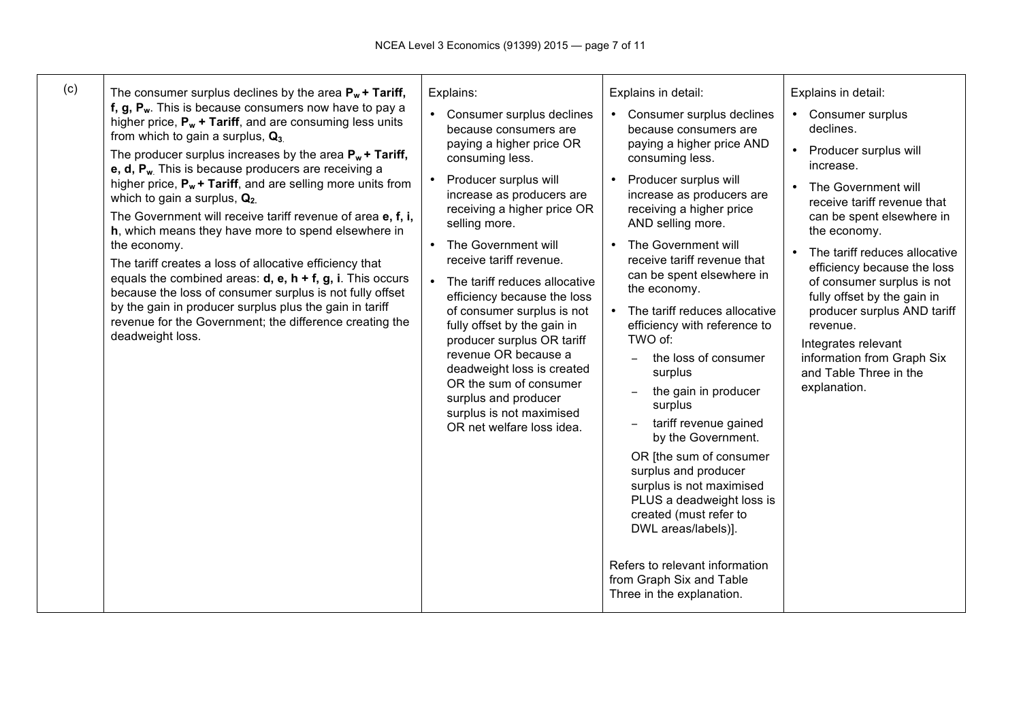| (c)<br>The consumer surplus declines by the area $P_w$ + Tariff,<br>f, $g$ , $P_w$ . This is because consumers now have to pay a<br>higher price, $P_w$ + Tariff, and are consuming less units<br>from which to gain a surplus, $Q_3$<br>The producer surplus increases by the area $P_w + Tariff$ ,<br>$e, d, P_w$ . This is because producers are receiving a<br>higher price, $P_w$ + Tariff, and are selling more units from<br>which to gain a surplus, $Q_2$<br>The Government will receive tariff revenue of area e, f, i,<br>h, which means they have more to spend elsewhere in<br>the economy.<br>The tariff creates a loss of allocative efficiency that<br>equals the combined areas: $d$ , $e$ , $h + f$ , $g$ , i. This occurs<br>because the loss of consumer surplus is not fully offset<br>by the gain in producer surplus plus the gain in tariff<br>revenue for the Government; the difference creating the<br>deadweight loss. | Explains:<br>• Consumer surplus declines<br>because consumers are<br>paying a higher price OR<br>consuming less.<br>Producer surplus will<br>increase as producers are<br>receiving a higher price OR<br>selling more.<br>The Government will<br>receive tariff revenue.<br>The tariff reduces allocative<br>$\bullet$<br>efficiency because the loss<br>of consumer surplus is not<br>fully offset by the gain in<br>producer surplus OR tariff<br>revenue OR because a<br>deadweight loss is created<br>OR the sum of consumer<br>surplus and producer<br>surplus is not maximised<br>OR net welfare loss idea. | Explains in detail:<br>Consumer surplus declines<br>because consumers are<br>paying a higher price AND<br>consuming less.<br>Producer surplus will<br>$\bullet$<br>increase as producers are<br>receiving a higher price<br>AND selling more.<br>The Government will<br>receive tariff revenue that<br>can be spent elsewhere in<br>the economy.<br>The tariff reduces allocative<br>efficiency with reference to<br>TWO of:<br>the loss of consumer<br>$\equiv$<br>surplus<br>the gain in producer<br>surplus<br>tariff revenue gained<br>by the Government. | Explains in detail:<br>• Consumer surplus<br>declines.<br>Producer surplus will<br>$\bullet$<br>increase.<br>The Government will<br>$\bullet$<br>receive tariff revenue that<br>can be spent elsewhere in<br>the economy.<br>The tariff reduces allocative<br>efficiency because the loss<br>of consumer surplus is not<br>fully offset by the gain in<br>producer surplus AND tariff<br>revenue.<br>Integrates relevant<br>information from Graph Six<br>and Table Three in the<br>explanation. |
|----------------------------------------------------------------------------------------------------------------------------------------------------------------------------------------------------------------------------------------------------------------------------------------------------------------------------------------------------------------------------------------------------------------------------------------------------------------------------------------------------------------------------------------------------------------------------------------------------------------------------------------------------------------------------------------------------------------------------------------------------------------------------------------------------------------------------------------------------------------------------------------------------------------------------------------------------|-------------------------------------------------------------------------------------------------------------------------------------------------------------------------------------------------------------------------------------------------------------------------------------------------------------------------------------------------------------------------------------------------------------------------------------------------------------------------------------------------------------------------------------------------------------------------------------------------------------------|---------------------------------------------------------------------------------------------------------------------------------------------------------------------------------------------------------------------------------------------------------------------------------------------------------------------------------------------------------------------------------------------------------------------------------------------------------------------------------------------------------------------------------------------------------------|--------------------------------------------------------------------------------------------------------------------------------------------------------------------------------------------------------------------------------------------------------------------------------------------------------------------------------------------------------------------------------------------------------------------------------------------------------------------------------------------------|
|                                                                                                                                                                                                                                                                                                                                                                                                                                                                                                                                                                                                                                                                                                                                                                                                                                                                                                                                                    |                                                                                                                                                                                                                                                                                                                                                                                                                                                                                                                                                                                                                   | OR [the sum of consumer<br>surplus and producer<br>surplus is not maximised<br>PLUS a deadweight loss is<br>created (must refer to<br>DWL areas/labels)].<br>Refers to relevant information<br>from Graph Six and Table<br>Three in the explanation.                                                                                                                                                                                                                                                                                                          |                                                                                                                                                                                                                                                                                                                                                                                                                                                                                                  |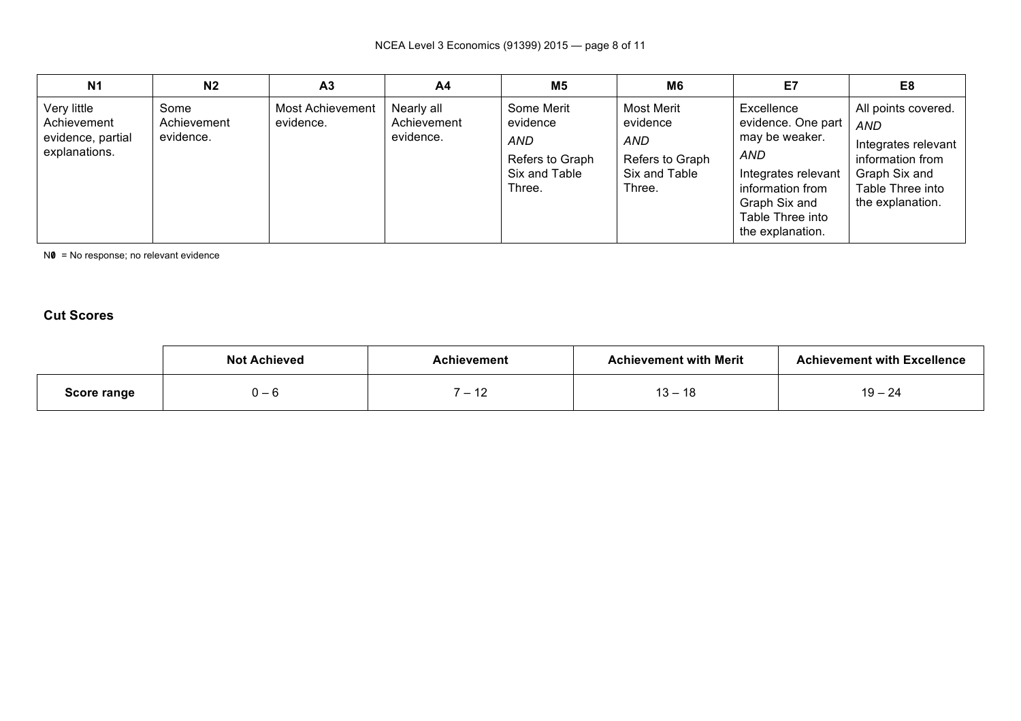| N <sub>1</sub>                                                   | N <sub>2</sub>                   | A <sub>3</sub>                | A4                                     | M5                                                                          | M <sub>6</sub>                                                              | E7                                                                                                                                                            | E8                                                                                                                                    |
|------------------------------------------------------------------|----------------------------------|-------------------------------|----------------------------------------|-----------------------------------------------------------------------------|-----------------------------------------------------------------------------|---------------------------------------------------------------------------------------------------------------------------------------------------------------|---------------------------------------------------------------------------------------------------------------------------------------|
| Very little<br>Achievement<br>evidence, partial<br>explanations. | Some<br>Achievement<br>evidence. | Most Achievement<br>evidence. | Nearly all<br>Achievement<br>evidence. | Some Merit<br>evidence<br>AND<br>Refers to Graph<br>Six and Table<br>Three. | Most Merit<br>evidence<br>AND<br>Refers to Graph<br>Six and Table<br>Three. | Excellence<br>evidence. One part<br>may be weaker.<br>AND<br>Integrates relevant<br>information from<br>Graph Six and<br>Table Three into<br>the explanation. | All points covered.<br><b>AND</b><br>Integrates relevant<br>information from<br>Graph Six and<br>Table Three into<br>the explanation. |

NO = No response; no relevant evidence

# **Cut Scores**

|                    | <b>Not Achieved</b> | ⊾chievement                                                            | <b>Achievement with Merit</b> | <b>Achievement with Excellence</b> |
|--------------------|---------------------|------------------------------------------------------------------------|-------------------------------|------------------------------------|
| <b>Score range</b> | . പ                 | $\overline{ }$<br>$\overline{\phantom{0}}$<br>$\overline{\phantom{a}}$ | - 10<br>. –<br>10<br>◡        | $19 - 24$                          |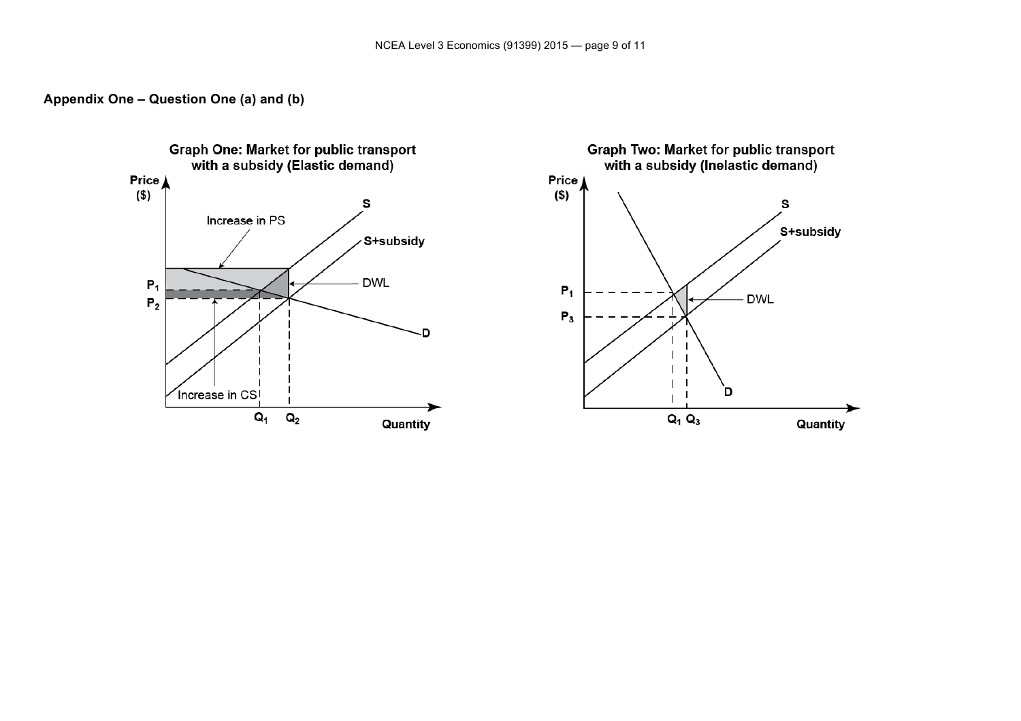

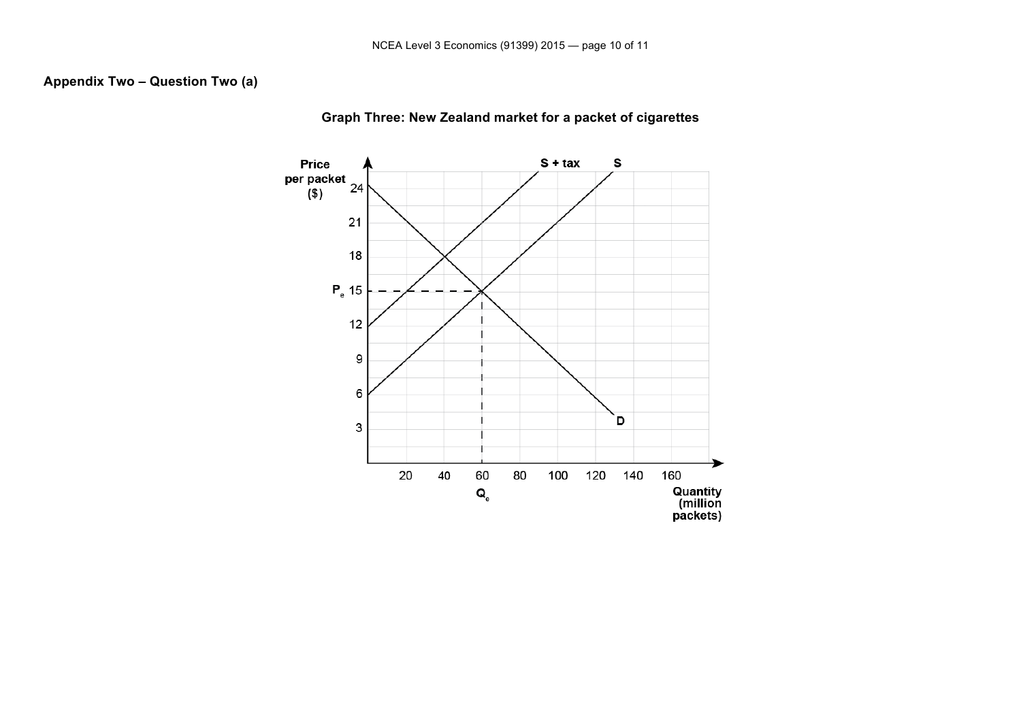### **Appendix Two – Question Two (a)**



**Graph Three: New Zealand market for a packet of cigarettes**